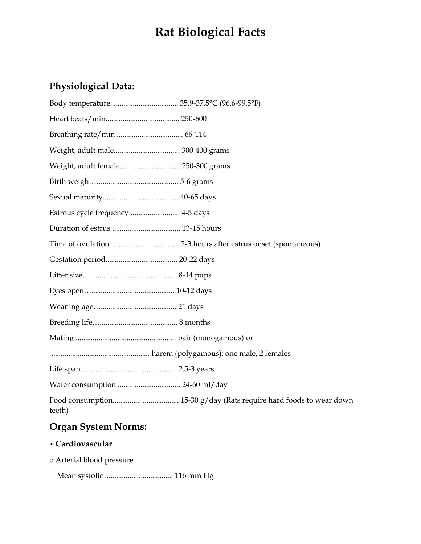## **Rat Biological Facts**

#### **Physiological Data:**

| Weight, adult female 250-300 grams |
|------------------------------------|
|                                    |
|                                    |
| Estrous cycle frequency  4-5 days  |
|                                    |
|                                    |
|                                    |
|                                    |
|                                    |
|                                    |
|                                    |
|                                    |
|                                    |
|                                    |
|                                    |
| teeth)                             |

### **Organ System Norms:**

#### **• Cardiovascular**

o Arterial blood pressure

Mean systolic .................................... 116 mm Hg